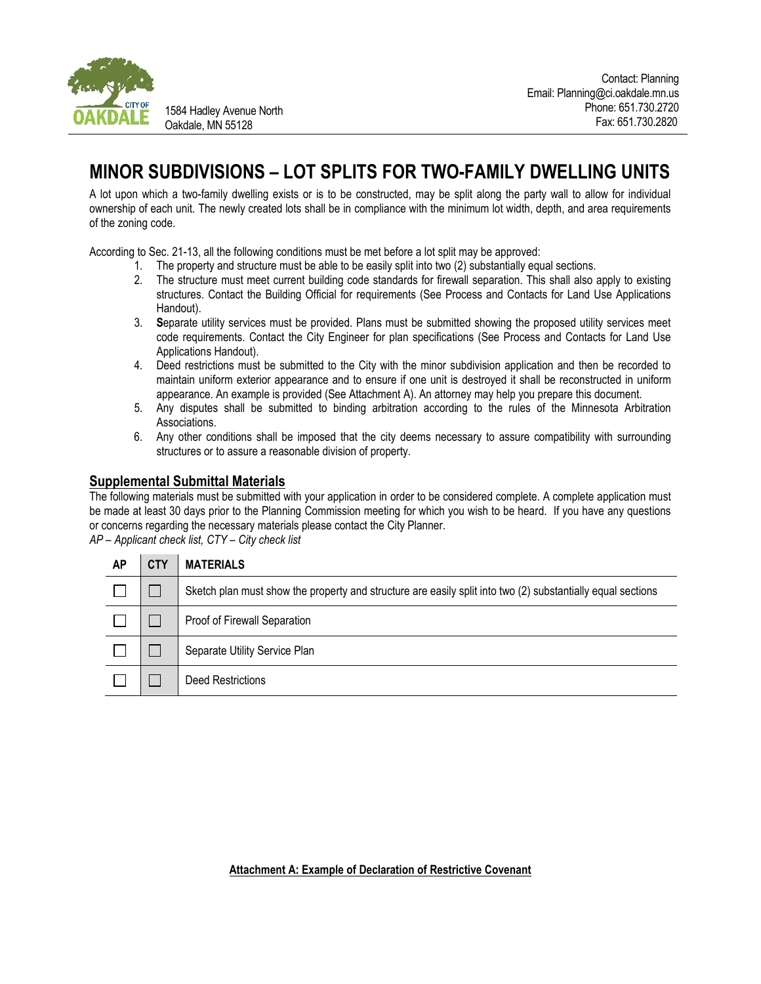

1584 Hadley Avenue North Oakdale, MN 55128

# **MINOR SUBDIVISIONS – LOT SPLITS FOR TWO-FAMILY DWELLING UNITS**

A lot upon which a two-family dwelling exists or is to be constructed, may be split along the party wall to allow for individual ownership of each unit. The newly created lots shall be in compliance with the minimum lot width, depth, and area requirements of the zoning code.

According to Sec. 21-13, all the following conditions must be met before a lot split may be approved:

- 1. The property and structure must be able to be easily split into two (2) substantially equal sections.
- 2. The structure must meet current building code standards for firewall separation. This shall also apply to existing structures. Contact the Building Official for requirements (See Process and Contacts for Land Use Applications Handout).
- 3. **S**eparate utility services must be provided. Plans must be submitted showing the proposed utility services meet code requirements. Contact the City Engineer for plan specifications (See Process and Contacts for Land Use Applications Handout).
- 4. Deed restrictions must be submitted to the City with the minor subdivision application and then be recorded to maintain uniform exterior appearance and to ensure if one unit is destroyed it shall be reconstructed in uniform appearance. An example is provided (See Attachment A). An attorney may help you prepare this document.
- 5. Any disputes shall be submitted to binding arbitration according to the rules of the Minnesota Arbitration Associations.
- 6. Any other conditions shall be imposed that the city deems necessary to assure compatibility with surrounding structures or to assure a reasonable division of property.

## **Supplemental Submittal Materials**

The following materials must be submitted with your application in order to be considered complete. A complete application must be made at least 30 days prior to the Planning Commission meeting for which you wish to be heard. If you have any questions or concerns regarding the necessary materials please contact the City Planner.

*AP – Applicant check list, CTY – City check list*

| АP | CTY | <b>MATERIALS</b>                                                                                            |
|----|-----|-------------------------------------------------------------------------------------------------------------|
|    |     | Sketch plan must show the property and structure are easily split into two (2) substantially equal sections |
|    |     | Proof of Firewall Separation                                                                                |
|    |     | Separate Utility Service Plan                                                                               |
|    |     | Deed Restrictions                                                                                           |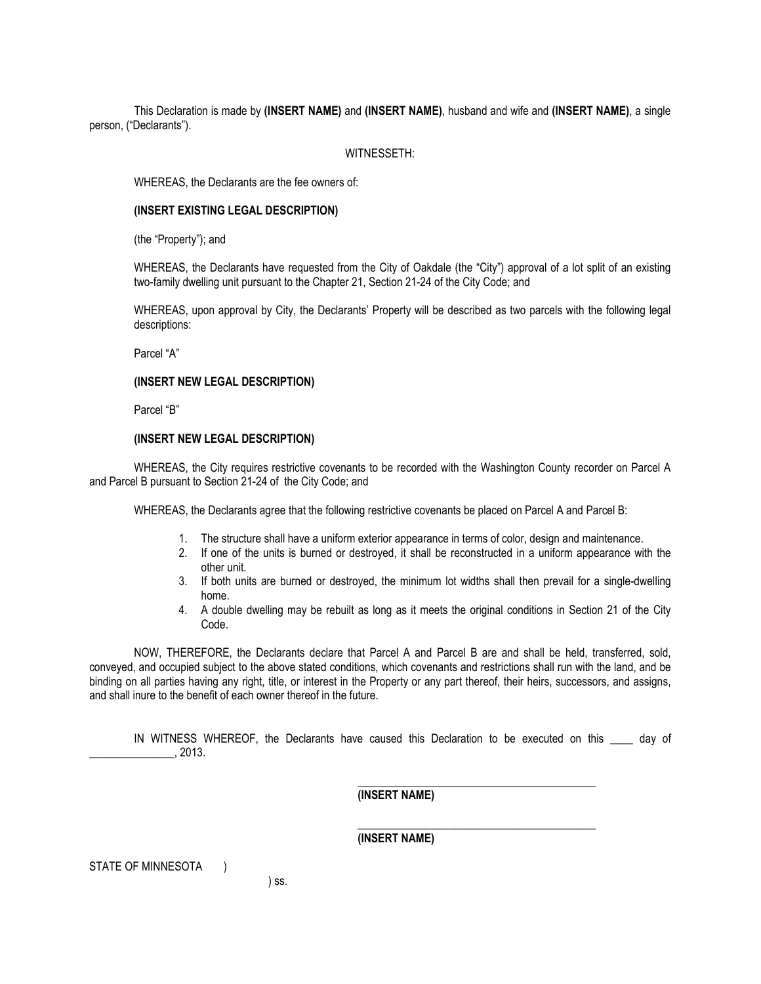This Declaration is made by **(INSERT NAME)** and **(INSERT NAME)**, husband and wife and **(INSERT NAME)**, a single person, ("Declarants").

### WITNESSETH:

WHEREAS, the Declarants are the fee owners of:

#### **(INSERT EXISTING LEGAL DESCRIPTION)**

(the "Property"); and

WHEREAS, the Declarants have requested from the City of Oakdale (the "City") approval of a lot split of an existing two-family dwelling unit pursuant to the Chapter 21, Section 21-24 of the City Code; and

WHEREAS, upon approval by City, the Declarants' Property will be described as two parcels with the following legal descriptions:

Parcel "A"

#### **(INSERT NEW LEGAL DESCRIPTION)**

Parcel "B"

#### **(INSERT NEW LEGAL DESCRIPTION)**

WHEREAS, the City requires restrictive covenants to be recorded with the Washington County recorder on Parcel A and Parcel B pursuant to Section 21-24 of the City Code; and

WHEREAS, the Declarants agree that the following restrictive covenants be placed on Parcel A and Parcel B:

- 1. The structure shall have a uniform exterior appearance in terms of color, design and maintenance.
- 2. If one of the units is burned or destroyed, it shall be reconstructed in a uniform appearance with the other unit.
- 3. If both units are burned or destroyed, the minimum lot widths shall then prevail for a single-dwelling home.
- 4. A double dwelling may be rebuilt as long as it meets the original conditions in Section 21 of the City Code.

NOW, THEREFORE, the Declarants declare that Parcel A and Parcel B are and shall be held, transferred, sold, conveyed, and occupied subject to the above stated conditions, which covenants and restrictions shall run with the land, and be binding on all parties having any right, title, or interest in the Property or any part thereof, their heirs, successors, and assigns, and shall inure to the benefit of each owner thereof in the future.

IN WITNESS WHEREOF, the Declarants have caused this Declaration to be executed on this alay of  $, 2013.$ 

\_\_\_\_\_\_\_\_\_\_\_\_\_\_\_\_\_\_\_\_\_\_\_\_\_\_\_\_\_\_\_\_\_\_\_\_\_\_\_\_\_\_

\_\_\_\_\_\_\_\_\_\_\_\_\_\_\_\_\_\_\_\_\_\_\_\_\_\_\_\_\_\_\_\_\_\_\_\_\_\_\_\_\_\_

**(INSERT NAME)**

**(INSERT NAME)**

STATE OF MINNESOTA )